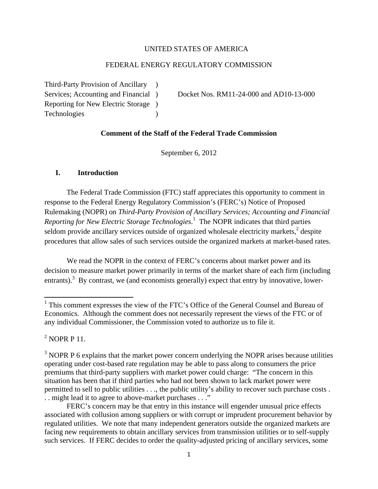#### UNITED STATES OF AMERICA

#### FEDERAL ENERGY REGULATORY COMMISSION

Third-Party Provision of Ancillary ) Reporting for New Electric Storage ) Technologies )

Services; Accounting and Financial ) Docket Nos. RM11-24-000 and AD10-13-000

#### **Comment of the Staff of the Federal Trade Commission**

September 6, 2012

#### **I. Introduction**

The Federal Trade Commission (FTC) staff appreciates this opportunity to comment in response to the Federal Energy Regulatory Commission's (FERC's) Notice of Proposed Rulemaking (NOPR) on *Third-Party Provision of Ancillary Services; Accounting and Financial Reporting for New Electric Storage Technologies*. 1 The NOPR indicates that third parties seldom provide ancillary services outside of organized wholesale electricity markets, $2$  despite procedures that allow sales of such services outside the organized markets at market-based rates.

We read the NOPR in the context of FERC's concerns about market power and its decision to measure market power primarily in terms of the market share of each firm (including entrants).<sup>3</sup> By contrast, we (and economists generally) expect that entry by innovative, lower-

 $2^2$  NOPR P 11.

<sup>&</sup>lt;sup>1</sup> This comment expresses the view of the FTC's Office of the General Counsel and Bureau of Economics. Although the comment does not necessarily represent the views of the FTC or of any individual Commissioner, the Commission voted to authorize us to file it.

 $3$  NOPR P 6 explains that the market power concern underlying the NOPR arises because utilities operating under cost-based rate regulation may be able to pass along to consumers the price premiums that third-party suppliers with market power could charge: "The concern in this situation has been that if third parties who had not been shown to lack market power were permitted to sell to public utilities . . ., the public utility's ability to recover such purchase costs . . . might lead it to agree to above-market purchases . . ."

FERC's concern may be that entry in this instance will engender unusual price effects associated with collusion among suppliers or with corrupt or imprudent procurement behavior by regulated utilities. We note that many independent generators outside the organized markets are facing new requirements to obtain ancillary services from transmission utilities or to self-supply such services. If FERC decides to order the quality-adjusted pricing of ancillary services, some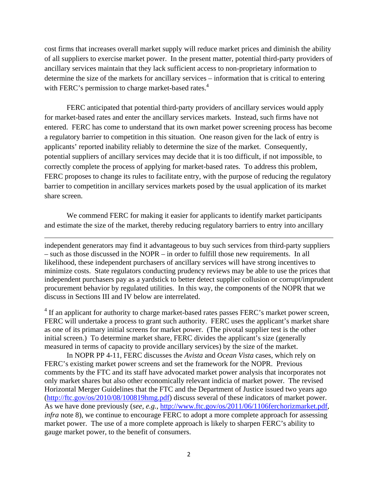cost firms that increases overall market supply will reduce market prices and diminish the ability of all suppliers to exercise market power. In the present matter, potential third-party providers of ancillary services maintain that they lack sufficient access to non-proprietary information to determine the size of the markets for ancillary services – information that is critical to entering with FERC's permission to charge market-based rates.<sup>4</sup>

FERC anticipated that potential third-party providers of ancillary services would apply for market-based rates and enter the ancillary services markets. Instead, such firms have not entered. FERC has come to understand that its own market power screening process has become a regulatory barrier to competition in this situation. One reason given for the lack of entry is applicants' reported inability reliably to determine the size of the market. Consequently, potential suppliers of ancillary services may decide that it is too difficult, if not impossible, to correctly complete the process of applying for market-based rates. To address this problem, FERC proposes to change its rules to facilitate entry, with the purpose of reducing the regulatory barrier to competition in ancillary services markets posed by the usual application of its market share screen.

We commend FERC for making it easier for applicants to identify market participants and estimate the size of the market, thereby reducing regulatory barriers to entry into ancillary

independent generators may find it advantageous to buy such services from third-party suppliers – such as those discussed in the NOPR – in order to fulfill those new requirements. In all likelihood, these independent purchasers of ancillary services will have strong incentives to minimize costs. State regulators conducting prudency reviews may be able to use the prices that independent purchasers pay as a yardstick to better detect supplier collusion or corrupt/imprudent procurement behavior by regulated utilities. In this way, the components of the NOPR that we discuss in Sections III and IV below are interrelated.

<u> 1989 - Johann Stein, marwolaethau a gweledydd a ganlad y ganlad y ganlad y ganlad y ganlad y ganlad y ganlad</u>

 $4$  If an applicant for authority to charge market-based rates passes FERC's market power screen, FERC will undertake a process to grant such authority. FERC uses the applicant's market share as one of its primary initial screens for market power. (The pivotal supplier test is the other initial screen.) To determine market share, FERC divides the applicant's size (generally measured in terms of capacity to provide ancillary services) by the size of the market.

In NOPR PP 4-11, FERC discusses the *Avista* and *Ocean Vista* cases, which rely on FERC's existing market power screens and set the framework for the NOPR. Previous comments by the FTC and its staff have advocated market power analysis that incorporates not only market shares but also other economically relevant indicia of market power. The revised Horizontal Merger Guidelines that the FTC and the Department of Justice issued two years ago (http://ftc.gov/os/2010/08/100819hmg.pdf) discuss several of these indicators of market power. As we have done previously (*see*, *e.g.*, http://www.ftc.gov/os/2011/06/1106ferchorizmarket.pdf, *infra* note 8), we continue to encourage FERC to adopt a more complete approach for assessing market power. The use of a more complete approach is likely to sharpen FERC's ability to gauge market power, to the benefit of consumers.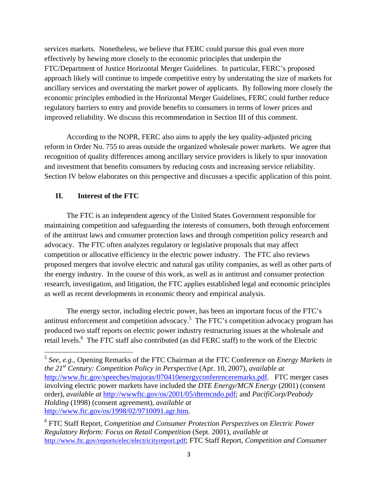services markets. Nonetheless, we believe that FERC could pursue this goal even more effectively by hewing more closely to the economic principles that underpin the FTC/Department of Justice Horizontal Merger Guidelines. In particular, FERC's proposed approach likely will continue to impede competitive entry by understating the size of markets for ancillary services and overstating the market power of applicants. By following more closely the economic principles embodied in the Horizontal Merger Guidelines, FERC could further reduce regulatory barriers to entry and provide benefits to consumers in terms of lower prices and improved reliability. We discuss this recommendation in Section III of this comment.

According to the NOPR, FERC also aims to apply the key quality-adjusted pricing reform in Order No. 755 to areas outside the organized wholesale power markets. We agree that recognition of quality differences among ancillary service providers is likely to spur innovation and investment that benefits consumers by reducing costs and increasing service reliability. Section IV below elaborates on this perspective and discusses a specific application of this point.

#### **II. Interest of the FTC**

The FTC is an independent agency of the United States Government responsible for maintaining competition and safeguarding the interests of consumers, both through enforcement of the antitrust laws and consumer protection laws and through competition policy research and advocacy. The FTC often analyzes regulatory or legislative proposals that may affect competition or allocative efficiency in the electric power industry. The FTC also reviews proposed mergers that involve electric and natural gas utility companies, as well as other parts of the energy industry. In the course of this work, as well as in antitrust and consumer protection research, investigation, and litigation, the FTC applies established legal and economic principles as well as recent developments in economic theory and empirical analysis.

The energy sector, including electric power, has been an important focus of the FTC's antitrust enforcement and competition advocacy.<sup>5</sup> The FTC's competition advocacy program has produced two staff reports on electric power industry restructuring issues at the wholesale and retail levels.<sup>6</sup> The FTC staff also contributed (as did FERC staff) to the work of the Electric

<sup>5</sup> *See*, *e.g.*, Opening Remarks of the FTC Chairman at the FTC Conference on *Energy Markets in the 21st Century: Competition Policy in Perspective* (Apr. 10, 2007), *available at* http://www.ftc.gov/speeches/majoras/070410energyconferenceremarks.pdf. FTC merger cases involving electric power markets have included the *DTE Energy/MCN Energy* (2001) (consent order), *available at* http://wwwftc.gov/os/2001/05/dtemcndo.pdf; and *PacifiCorp/Peabody Holding* (1998) (consent agreement), *available at* http://www.ftc.gov/os/1998/02/9710091.agr.htm.

<sup>6</sup> FTC Staff Report, *Competition and Consumer Protection Perspectives on Electric Power Regulatory Reform: Focus on Retail Competition* (Sept. 2001), *available at* http://www.ftc.gov/reports/elec/electricityreport.pdf; FTC Staff Report, *Competition and Consumer*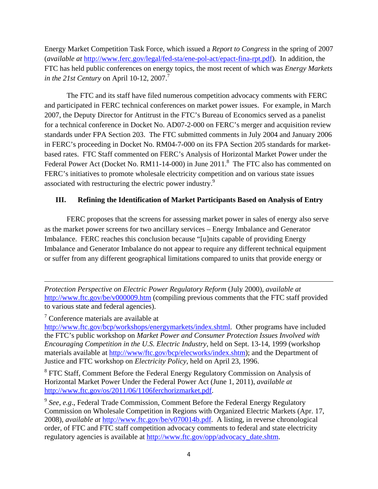Energy Market Competition Task Force, which issued a *Report to Congress* in the spring of 2007 (*available at* http://www.ferc.gov/legal/fed-sta/ene-pol-act/epact-fina-rpt.pdf). In addition, the FTC has held public conferences on energy topics, the most recent of which was *Energy Markets in the 21st Century* on April 10-12, 2007.<sup>7</sup>

The FTC and its staff have filed numerous competition advocacy comments with FERC and participated in FERC technical conferences on market power issues. For example, in March 2007, the Deputy Director for Antitrust in the FTC's Bureau of Economics served as a panelist for a technical conference in Docket No. AD07-2-000 on FERC's merger and acquisition review standards under FPA Section 203. The FTC submitted comments in July 2004 and January 2006 in FERC's proceeding in Docket No. RM04-7-000 on its FPA Section 205 standards for marketbased rates. FTC Staff commented on FERC's Analysis of Horizontal Market Power under the Federal Power Act (Docket No. RM11-14-000) in June 2011.<sup>8</sup> The FTC also has commented on FERC's initiatives to promote wholesale electricity competition and on various state issues associated with restructuring the electric power industry.<sup>9</sup>

## **III. Refining the Identification of Market Participants Based on Analysis of Entry**

FERC proposes that the screens for assessing market power in sales of energy also serve as the market power screens for two ancillary services – Energy Imbalance and Generator Imbalance. FERC reaches this conclusion because "[u]nits capable of providing Energy Imbalance and Generator Imbalance do not appear to require any different technical equipment or suffer from any different geographical limitations compared to units that provide energy or

*Protection Perspective on Electric Power Regulatory Reform* (July 2000), *available at* http://www.ftc.gov/be/v000009.htm (compiling previous comments that the FTC staff provided to various state and federal agencies).

<u> 1989 - Johann Stein, marwolaethau a gweledydd a ganlad y ganlad y ganlad y ganlad y ganlad y ganlad y ganlad</u>

7 Conference materials are available at

http://www.ftc.gov/bcp/workshops/energymarkets/index.shtml. Other programs have included the FTC's public workshop on *Market Power and Consumer Protection Issues Involved with Encouraging Competition in the U.S. Electric Industry*, held on Sept. 13-14, 1999 (workshop materials available at http://www/ftc.gov/bcp/elecworks/index.shtm); and the Department of Justice and FTC workshop on *Electricity Policy*, held on April 23, 1996.

<sup>8</sup> FTC Staff, Comment Before the Federal Energy Regulatory Commission on Analysis of Horizontal Market Power Under the Federal Power Act (June 1, 2011), *available at* http://www.ftc.gov/os/2011/06/1106ferchorizmarket.pdf.

<sup>9</sup> *See*, *e.g*., Federal Trade Commission, Comment Before the Federal Energy Regulatory Commission on Wholesale Competition in Regions with Organized Electric Markets (Apr. 17, 2008), *available at* http://www.ftc.gov/be/v070014b.pdf. A listing, in reverse chronological order, of FTC and FTC staff competition advocacy comments to federal and state electricity regulatory agencies is available at http://www.ftc.gov/opp/advocacy\_date.shtm.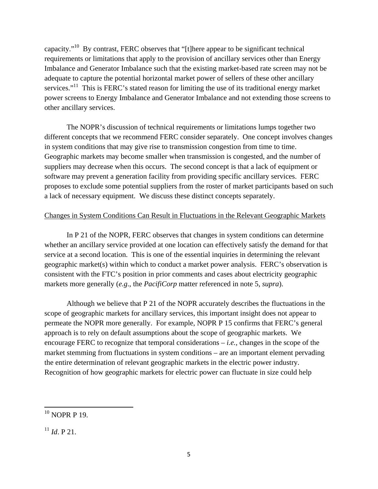capacity."10 By contrast, FERC observes that "[t]here appear to be significant technical requirements or limitations that apply to the provision of ancillary services other than Energy Imbalance and Generator Imbalance such that the existing market-based rate screen may not be adequate to capture the potential horizontal market power of sellers of these other ancillary services."<sup>11</sup> This is FERC's stated reason for limiting the use of its traditional energy market power screens to Energy Imbalance and Generator Imbalance and not extending those screens to other ancillary services.

The NOPR's discussion of technical requirements or limitations lumps together two different concepts that we recommend FERC consider separately. One concept involves changes in system conditions that may give rise to transmission congestion from time to time. Geographic markets may become smaller when transmission is congested, and the number of suppliers may decrease when this occurs. The second concept is that a lack of equipment or software may prevent a generation facility from providing specific ancillary services. FERC proposes to exclude some potential suppliers from the roster of market participants based on such a lack of necessary equipment. We discuss these distinct concepts separately.

### Changes in System Conditions Can Result in Fluctuations in the Relevant Geographic Markets

In P 21 of the NOPR, FERC observes that changes in system conditions can determine whether an ancillary service provided at one location can effectively satisfy the demand for that service at a second location. This is one of the essential inquiries in determining the relevant geographic market(s) within which to conduct a market power analysis. FERC's observation is consistent with the FTC's position in prior comments and cases about electricity geographic markets more generally (*e.g*., the *PacifiCorp* matter referenced in note 5, *supra*).

Although we believe that P 21 of the NOPR accurately describes the fluctuations in the scope of geographic markets for ancillary services, this important insight does not appear to permeate the NOPR more generally. For example, NOPR P 15 confirms that FERC's general approach is to rely on default assumptions about the scope of geographic markets. We encourage FERC to recognize that temporal considerations – *i.e.*, changes in the scope of the market stemming from fluctuations in system conditions – are an important element pervading the entire determination of relevant geographic markets in the electric power industry. Recognition of how geographic markets for electric power can fluctuate in size could help

  $10$  NOPR P 19.

 $^{11}$  *Id.* P 21.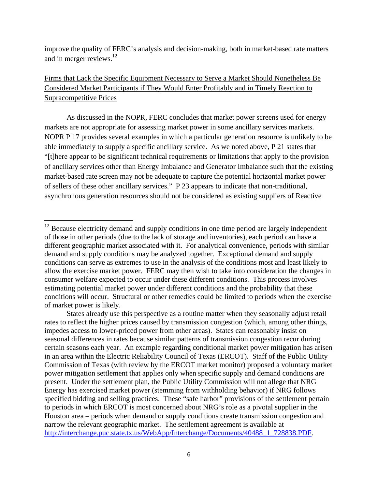improve the quality of FERC's analysis and decision-making, both in market-based rate matters and in merger reviews.<sup>12</sup>

# Firms that Lack the Specific Equipment Necessary to Serve a Market Should Nonetheless Be Considered Market Participants if They Would Enter Profitably and in Timely Reaction to Supracompetitive Prices

As discussed in the NOPR, FERC concludes that market power screens used for energy markets are not appropriate for assessing market power in some ancillary services markets. NOPR P 17 provides several examples in which a particular generation resource is unlikely to be able immediately to supply a specific ancillary service. As we noted above, P 21 states that "[t]here appear to be significant technical requirements or limitations that apply to the provision of ancillary services other than Energy Imbalance and Generator Imbalance such that the existing market-based rate screen may not be adequate to capture the potential horizontal market power of sellers of these other ancillary services." P 23 appears to indicate that non-traditional, asynchronous generation resources should not be considered as existing suppliers of Reactive

 $12$  Because electricity demand and supply conditions in one time period are largely independent of those in other periods (due to the lack of storage and inventories), each period can have a different geographic market associated with it. For analytical convenience, periods with similar demand and supply conditions may be analyzed together. Exceptional demand and supply conditions can serve as extremes to use in the analysis of the conditions most and least likely to allow the exercise market power. FERC may then wish to take into consideration the changes in consumer welfare expected to occur under these different conditions. This process involves estimating potential market power under different conditions and the probability that these conditions will occur. Structural or other remedies could be limited to periods when the exercise of market power is likely.

States already use this perspective as a routine matter when they seasonally adjust retail rates to reflect the higher prices caused by transmission congestion (which, among other things, impedes access to lower-priced power from other areas). States can reasonably insist on seasonal differences in rates because similar patterns of transmission congestion recur during certain seasons each year. An example regarding conditional market power mitigation has arisen in an area within the Electric Reliability Council of Texas (ERCOT). Staff of the Public Utility Commission of Texas (with review by the ERCOT market monitor) proposed a voluntary market power mitigation settlement that applies only when specific supply and demand conditions are present. Under the settlement plan, the Public Utility Commission will not allege that NRG Energy has exercised market power (stemming from withholding behavior) if NRG follows specified bidding and selling practices. These "safe harbor" provisions of the settlement pertain to periods in which ERCOT is most concerned about NRG's role as a pivotal supplier in the Houston area – periods when demand or supply conditions create transmission congestion and narrow the relevant geographic market. The settlement agreement is available at http://interchange.puc.state.tx.us/WebApp/Interchange/Documents/40488\_1\_728838.PDF.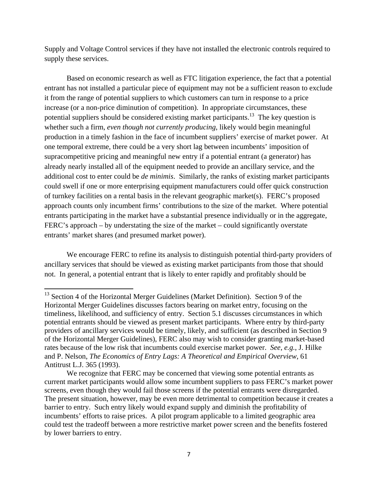Supply and Voltage Control services if they have not installed the electronic controls required to supply these services.

Based on economic research as well as FTC litigation experience, the fact that a potential entrant has not installed a particular piece of equipment may not be a sufficient reason to exclude it from the range of potential suppliers to which customers can turn in response to a price increase (or a non-price diminution of competition). In appropriate circumstances, these potential suppliers should be considered existing market participants.<sup>13</sup> The key question is whether such a firm, *even though not currently producing*, likely would begin meaningful production in a timely fashion in the face of incumbent suppliers' exercise of market power. At one temporal extreme, there could be a very short lag between incumbents' imposition of supracompetitive pricing and meaningful new entry if a potential entrant (a generator) has already nearly installed all of the equipment needed to provide an ancillary service, and the additional cost to enter could be *de minimis*. Similarly, the ranks of existing market participants could swell if one or more enterprising equipment manufacturers could offer quick construction of turnkey facilities on a rental basis in the relevant geographic market(s). FERC's proposed approach counts only incumbent firms' contributions to the size of the market. Where potential entrants participating in the market have a substantial presence individually or in the aggregate, FERC's approach – by understating the size of the market – could significantly overstate entrants' market shares (and presumed market power).

We encourage FERC to refine its analysis to distinguish potential third-party providers of ancillary services that should be viewed as existing market participants from those that should not. In general, a potential entrant that is likely to enter rapidly and profitably should be

 $13$  Section 4 of the Horizontal Merger Guidelines (Market Definition). Section 9 of the Horizontal Merger Guidelines discusses factors bearing on market entry, focusing on the timeliness, likelihood, and sufficiency of entry. Section 5.1 discusses circumstances in which potential entrants should be viewed as present market participants. Where entry by third-party providers of ancillary services would be timely, likely, and sufficient (as described in Section 9 of the Horizontal Merger Guidelines), FERC also may wish to consider granting market-based rates because of the low risk that incumbents could exercise market power. *See*, *e.g.*, J. Hilke and P. Nelson, *The Economics of Entry Lags: A Theoretical and Empirical Overview*, 61 Antitrust L.J. 365 (1993).

We recognize that FERC may be concerned that viewing some potential entrants as current market participants would allow some incumbent suppliers to pass FERC's market power screens, even though they would fail those screens if the potential entrants were disregarded. The present situation, however, may be even more detrimental to competition because it creates a barrier to entry. Such entry likely would expand supply and diminish the profitability of incumbents' efforts to raise prices. A pilot program applicable to a limited geographic area could test the tradeoff between a more restrictive market power screen and the benefits fostered by lower barriers to entry.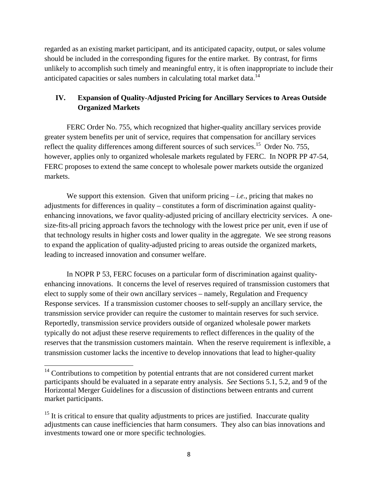regarded as an existing market participant, and its anticipated capacity, output, or sales volume should be included in the corresponding figures for the entire market. By contrast, for firms unlikely to accomplish such timely and meaningful entry, it is often inappropriate to include their anticipated capacities or sales numbers in calculating total market data.<sup>14</sup>

## **IV. Expansion of Quality-Adjusted Pricing for Ancillary Services to Areas Outside Organized Markets**

FERC Order No. 755, which recognized that higher-quality ancillary services provide greater system benefits per unit of service, requires that compensation for ancillary services reflect the quality differences among different sources of such services.<sup>15</sup> Order No. 755, however, applies only to organized wholesale markets regulated by FERC. In NOPR PP 47-54, FERC proposes to extend the same concept to wholesale power markets outside the organized markets.

We support this extension. Given that uniform pricing  $-i.e.,$  pricing that makes no adjustments for differences in quality – constitutes a form of discrimination against qualityenhancing innovations, we favor quality-adjusted pricing of ancillary electricity services. A onesize-fits-all pricing approach favors the technology with the lowest price per unit, even if use of that technology results in higher costs and lower quality in the aggregate. We see strong reasons to expand the application of quality-adjusted pricing to areas outside the organized markets, leading to increased innovation and consumer welfare.

In NOPR P 53, FERC focuses on a particular form of discrimination against qualityenhancing innovations. It concerns the level of reserves required of transmission customers that elect to supply some of their own ancillary services – namely, Regulation and Frequency Response services. If a transmission customer chooses to self-supply an ancillary service, the transmission service provider can require the customer to maintain reserves for such service. Reportedly, transmission service providers outside of organized wholesale power markets typically do not adjust these reserve requirements to reflect differences in the quality of the reserves that the transmission customers maintain. When the reserve requirement is inflexible, a transmission customer lacks the incentive to develop innovations that lead to higher-quality

 $14$  Contributions to competition by potential entrants that are not considered current market participants should be evaluated in a separate entry analysis. *See* Sections 5.1, 5.2, and 9 of the Horizontal Merger Guidelines for a discussion of distinctions between entrants and current market participants.

 $15$  It is critical to ensure that quality adjustments to prices are justified. Inaccurate quality adjustments can cause inefficiencies that harm consumers. They also can bias innovations and investments toward one or more specific technologies.